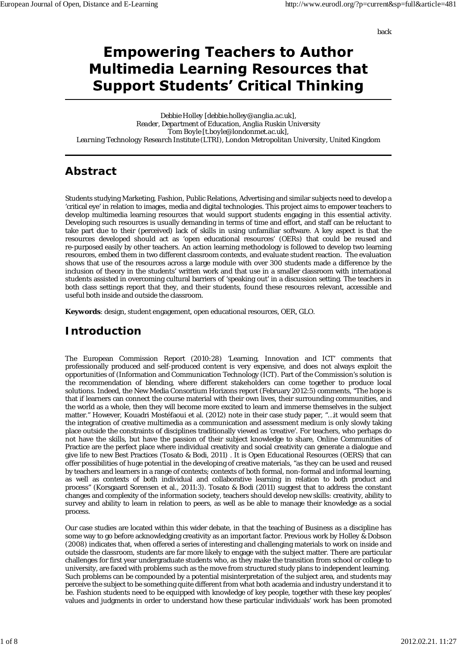back

# **Empowering Teachers to Author Multimedia Learning Resources that Support Students' Critical Thinking**

*Debbie Holley [debbie.holley@anglia.ac.uk], Reader, Department of Education, Anglia Ruskin University Tom Boyle [t.boyle@londonmet.ac.uk], Learning Technology Research Institute (LTRI), London Metropolitan University, United Kingdom*

# **Abstract**

Students studying Marketing, Fashion, Public Relations, Advertising and similar subjects need to develop a 'critical eye' in relation to images, media and digital technologies. This project aims to empower teachers to develop multimedia learning resources that would support students engaging in this essential activity. Developing such resources is usually demanding in terms of time and effort, and staff can be reluctant to take part due to their (perceived) lack of skills in using unfamiliar software. A key aspect is that the resources developed should act as 'open educational resources' (OERs) that could be reused and re-purposed easily by other teachers. An action learning methodology is followed to develop two learning resources, embed them in two different classroom contexts, and evaluate student reaction. The evaluation shows that use of the resources across a large module with over 300 students made a difference by the inclusion of theory in the students' written work and that use in a smaller classroom with international students assisted in overcoming cultural barriers of 'speaking out' in a discussion setting. The teachers in both class settings report that they, and their students, found these resources relevant, accessible and useful both inside and outside the classroom.

**Keywords**: design, student engagement, open educational resources, OER, GLO.

### **Introduction**

The European Commission Report (2010:28) 'Learning, Innovation and ICT' comments that professionally produced and self-produced content is very expensive, and does not always exploit the opportunities of (Information and Communication Technology (ICT). Part of the Commission's solution is the recommendation of blending, where different stakeholders can come together to produce local solutions. Indeed, the New Media Consortium Horizons report (February 2012:5) comments, "The hope is that if learners can connect the course material with their own lives, their surrounding communities, and the world as a whole, then they will become more excited to learn and immerse themselves in the subject matter." However, Kouadri Mostéfaoui et al. (2012) note in their case study paper, "…it would seem that the integration of creative multimedia as a communication and assessment medium is only slowly taking place outside the constraints of disciplines traditionally viewed as 'creative'. For teachers, who perhaps do not have the skills, but have the passion of their subject knowledge to share, Online Communities of Practice are the perfect place where individual creativity and social creativity can generate a dialogue and give life to new Best Practices (Tosato & Bodi, 2011) . It is Open Educational Resources (OERS) that can offer possibilities of huge potential in the developing of creative materials, "as they can be used and reused by teachers and learners in a range of contexts; contexts of both formal, non-formal and informal learning, as well as contexts of both individual and collaborative learning in relation to both product and process" (Korsgaard Sorensen et al., 2011:3). Tosato & Bodi (2011) suggest that to address the constant changes and complexity of the information society, teachers should develop new skills: creativity, ability to survey and ability to learn in relation to peers, as well as be able to manage their knowledge as a social process.

Our case studies are located within this wider debate, in that the teaching of Business as a discipline has some way to go before acknowledging creativity as an important factor. Previous work by Holley & Dobson (2008) indicates that, when offered a series of interesting and challenging materials to work on inside and outside the classroom, students are far more likely to engage with the subject matter. There are particular challenges for first year undergraduate students who, as they make the transition from school or college to university, are faced with problems such as the move from structured study plans to independent learning. Such problems can be compounded by a potential misinterpretation of the subject area, and students may perceive the subject to be something quite different from what both academia and industry understand it to be. Fashion students need to be equipped with knowledge of key people, together with these key peoples' values and judgments in order to understand how these particular individuals' work has been promoted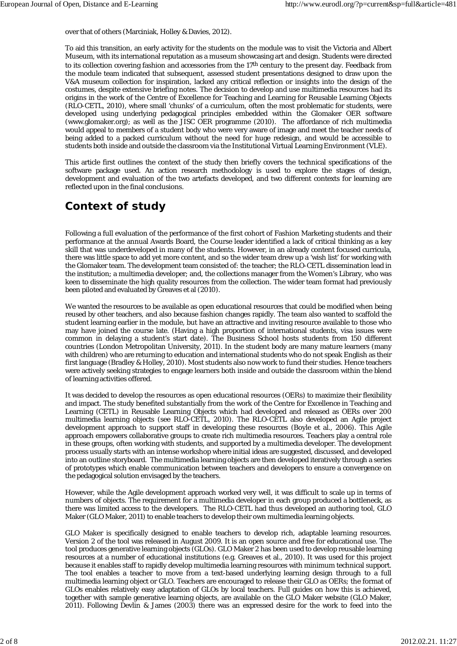over that of others (Marciniak, Holley & Davies, 2012).

To aid this transition, an early activity for the students on the module was to visit the Victoria and Albert Museum, with its international reputation as a museum showcasing art and design. Students were directed to its collection covering fashion and accessories from the 17th century to the present day. Feedback from the module team indicated that subsequent, assessed student presentations designed to draw upon the V&A museum collection for inspiration, lacked any critical reflection or insights into the design of the costumes, despite extensive briefing notes. The decision to develop and use multimedia resources had its origins in the work of the Centre of Excellence for Teaching and Learning for Reusable Learning Objects (RLO-CETL, 2010), where small 'chunks' of a curriculum, often the most problematic for students, were developed using underlying pedagogical principles embedded within the Glomaker OER software (www.glomaker.org); as well as the JISC OER programme (2010). The affordance of rich multimedia would appeal to members of a student body who were very aware of image and meet the teacher needs of being added to a packed curriculum without the need for huge redesign, and would be accessible to students both inside and outside the classroom via the Institutional Virtual Learning Environment (VLE).

This article first outlines the context of the study then briefly covers the technical specifications of the software package used. An action research methodology is used to explore the stages of design, development and evaluation of the two artefacts developed, and two different contexts for learning are reflected upon in the final conclusions.

### **Context of study**

Following a full evaluation of the performance of the first cohort of Fashion Marketing students and their performance at the annual Awards Board, the Course leader identified a lack of critical thinking as a key skill that was underdeveloped in many of the students. However, in an already content focused curricula, there was little space to add yet more content, and so the wider team drew up a 'wish list' for working with the Glomaker team. The development team consisted of: the teacher; the RLO-CETL dissemination lead in the institution; a multimedia developer; and, the collections manager from the Women's Library, who was keen to disseminate the high quality resources from the collection. The wider team format had previously been piloted and evaluated by Greaves et al (2010).

We wanted the resources to be available as open educational resources that could be modified when being reused by other teachers, and also because fashion changes rapidly. The team also wanted to scaffold the student learning earlier in the module, but have an attractive and inviting resource available to those who may have joined the course late. (Having a high proportion of international students, visa issues were common in delaying a student's start date). The Business School hosts students from 150 different countries (London Metropolitan University, 2011). In the student body are many mature learners (many with children) who are returning to education and international students who do not speak English as their first language (Bradley & Holley, 2010). Most students also now work to fund their studies. Hence teachers were actively seeking strategies to engage learners both inside and outside the classroom within the blend of learning activities offered.

It was decided to develop the resources as open educational resources (OERs) to maximize their flexibility and impact. The study benefited substantially from the work of the Centre for Excellence in Teaching and Learning (CETL) in Reusable Learning Objects which had developed and released as OERs over 200 multimedia learning objects (see RLO-CETL, 2010). The RLO-CETL also developed an Agile project development approach to support staff in developing these resources (Boyle et al., 2006). This Agile approach empowers collaborative groups to create rich multimedia resources. Teachers play a central role in these groups, often working with students, and supported by a multimedia developer. The development process usually starts with an intense workshop where initial ideas are suggested, discussed, and developed into an outline storyboard. The multimedia learning objects are then developed iteratively through a series of prototypes which enable communication between teachers and developers to ensure a convergence on the pedagogical solution envisaged by the teachers.

However, while the Agile development approach worked very well, it was difficult to scale up in terms of numbers of objects. The requirement for a multimedia developer in each group produced a bottleneck, as there was limited access to the developers. The RLO-CETL had thus developed an authoring tool, GLO Maker (GLO Maker, 2011) to enable teachers to develop their own multimedia learning objects.

GLO Maker is specifically designed to enable teachers to develop rich, adaptable learning resources. Version 2 of the tool was released in August 2009. It is an open source and free for educational use. The tool produces generative learning objects (GLOs). GLO Maker 2 has been used to develop reusable learning resources at a number of educational institutions (e.g. Greaves et al., 2010). It was used for this project because it enables staff to rapidly develop multimedia learning resources with minimum technical support. The tool enables a teacher to move from a text-based underlying learning design through to a full multimedia learning object or GLO. Teachers are encouraged to release their GLO as OERs; the format of GLOs enables relatively easy adaptation of GLOs by local teachers. Full guides on how this is achieved, together with sample generative learning objects, are available on the GLO Maker website (GLO Maker, 2011). Following Devlin & James (2003) there was an expressed desire for the work to feed into the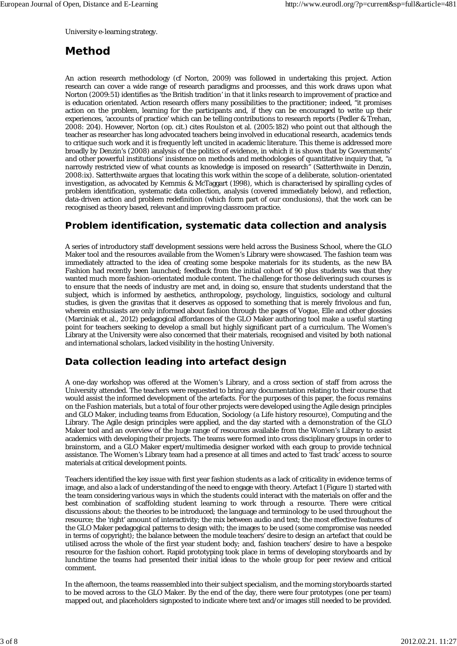University e-learning strategy.

# **Method**

An action research methodology (cf Norton, 2009) was followed in undertaking this project. Action research can cover a wide range of research paradigms and processes, and this work draws upon what Norton (2009:51) identifies as 'the British tradition' in that it links research to improvement of practice and is education orientated. Action research offers many possibilities to the practitioner; indeed, "it promises action on the problem, learning for the participants and, if they can be encouraged to write up their experiences, 'accounts of practice' which can be telling contributions to research reports (Pedler & Trehan, 2008: 204). However, Norton (op. cit.) cites Roulston et al. (2005:182) who point out that although the teacher as researcher has long advocated teachers being involved in educational research, academics tends to critique such work and it is frequently left uncited in academic literature. This theme is addressed more broadly by Denzin's (2008) analysis of the politics of evidence, in which it is shown that by Governments' and other powerful institutions' insistence on methods and methodologies of quantitative inquiry that, "a narrowly restricted view of what counts as knowledge is imposed on research" (Satterthwaite in Denzin, 2008:ix). Satterthwaite argues that locating this work within the scope of a deliberate, solution-orientated investigation, as advocated by Kemmis & McTaggart (1998), which is characterised by spiralling cycles of problem identification, systematic data collection, analysis (covered immediately below), and reflection, data-driven action and problem redefinition (which form part of our conclusions), that the work can be recognised as theory based, relevant and improving classroom practice.

#### **Problem identification, systematic data collection and analysis**

A series of introductory staff development sessions were held across the Business School, where the GLO Maker tool and the resources available from the Women's Library were showcased. The fashion team was immediately attracted to the idea of creating some bespoke materials for its students, as the new BA Fashion had recently been launched; feedback from the initial cohort of 90 plus students was that they wanted much more fashion-orientated module content. The challenge for those delivering such courses is to ensure that the needs of industry are met and, in doing so, ensure that students understand that the subject, which is informed by aesthetics, anthropology, psychology, linguistics, sociology and cultural studies, is given the gravitas that it deserves as opposed to something that is merely frivolous and fun, wherein enthusiasts are only informed about fashion through the pages of Vogue, Elle and other glossies (Marciniak et al., 2012) pedagogical affordances of the GLO Maker authoring tool make a useful starting point for teachers seeking to develop a small but highly significant part of a curriculum. The Women's Library at the University were also concerned that their materials, recognised and visited by both national and international scholars, lacked visibility in the hosting University.

### **Data collection leading into artefact design**

A one-day workshop was offered at the Women's Library, and a cross section of staff from across the University attended. The teachers were requested to bring any documentation relating to their course that would assist the informed development of the artefacts. For the purposes of this paper, the focus remains on the Fashion materials, but a total of four other projects were developed using the Agile design principles and GLO Maker, including teams from Education, Sociology (a Life history resource), Computing and the Library. The Agile design principles were applied, and the day started with a demonstration of the GLO Maker tool and an overview of the huge range of resources available from the Women's Library to assist academics with developing their projects. The teams were formed into cross disciplinary groups in order to brainstorm, and a GLO Maker expert/multimedia designer worked with each group to provide technical assistance. The Women's Library team had a presence at all times and acted to 'fast track' access to source materials at critical development points.

Teachers identified the key issue with first year fashion students as a lack of criticality in evidence terms of image, and also a lack of understanding of the need to engage with theory. Artefact 1 (Figure 1) started with the team considering various ways in which the students could interact with the materials on offer and the best combination of scaffolding student learning to work through a resource. There were critical discussions about: the theories to be introduced; the language and terminology to be used throughout the resource; the 'right' amount of interactivity; the mix between audio and text; the most effective features of the GLO Maker pedagogical patterns to design with; the images to be used (some compromise was needed in terms of copyright); the balance between the module teachers' desire to design an artefact that could be utilised across the whole of the first year student body; and, fashion teachers' desire to have a bespoke resource for the fashion cohort. Rapid prototyping took place in terms of developing storyboards and by lunchtime the teams had presented their initial ideas to the whole group for peer review and critical comment.

In the afternoon, the teams reassembled into their subject specialism, and the morning storyboards started to be moved across to the GLO Maker. By the end of the day, there were four prototypes (one per team) mapped out, and placeholders signposted to indicate where text and/or images still needed to be provided.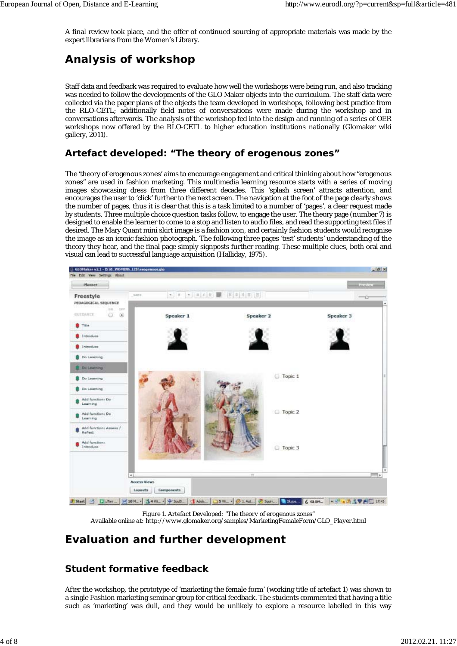A final review took place, and the offer of continued sourcing of appropriate materials was made by the expert librarians from the Women's Library.

# **Analysis of workshop**

Staff data and feedback was required to evaluate how well the workshops were being run, and also tracking was needed to follow the developments of the GLO Maker objects into the curriculum. The staff data were collected via the paper plans of the objects the team developed in workshops, following best practice from the RLO-CETL; additionally field notes of conversations were made during the workshop and in conversations afterwards. The analysis of the workshop fed into the design and running of a series of OER workshops now offered by the RLO-CETL to higher education institutions nationally (Glomaker wiki gallery, 2011).

### **Artefact developed: "The theory of erogenous zones"**

The 'theory of erogenous zones' aims to encourage engagement and critical thinking about how "erogenous zones" are used in fashion marketing. This multimedia learning resource starts with a series of moving images showcasing dress from three different decades. This 'splash screen' attracts attention, and encourages the user to 'click' further to the next screen. The navigation at the foot of the page clearly shows the number of pages, thus it is clear that this is a task limited to a number of 'pages', a clear request made by students. Three multiple choice question tasks follow, to engage the user. The theory page (number 7) is designed to enable the learner to come to a stop and listen to audio files, and read the supporting text files if desired. The Mary Quant mini skirt image is a fashion icon, and certainly fashion students would recognise the image as an iconic fashion photograph. The following three pages 'test' students' understanding of the theory they hear, and the final page simply signposts further reading. These multiple clues, both oral and visual can lead to successful language acquisition (Halliday, 1975).



*Figure 1. Artefact Developed: "The theory of erogenous zones" Available online at: http://www.glomaker.org/samples/MarketingFemaleForm/GLO\_Player.html*

### **Evaluation and further development**

### **Student formative feedback**

After the workshop, the prototype of 'marketing the female form' (working title of artefact 1) was shown to a single Fashion marketing seminar group for critical feedback. The students commented that having a title such as 'marketing' was dull, and they would be unlikely to explore a resource labelled in this way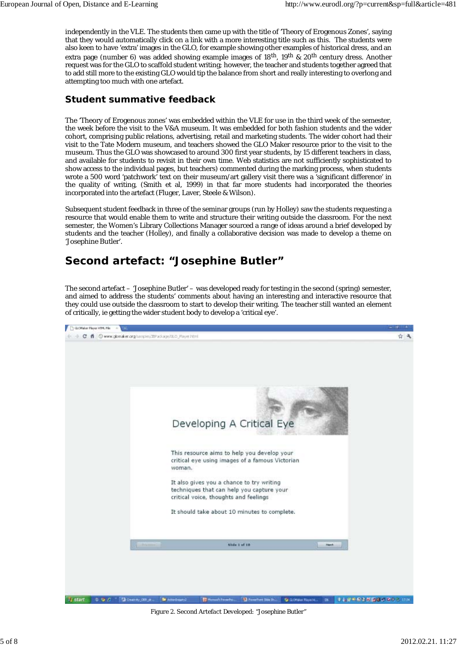independently in the VLE. The students then came up with the title of 'Theory of Erogenous Zones', saying that they would automatically click on a link with a more interesting title such as this. The students were also keen to have 'extra' images in the GLO, for example showing other examples of historical dress, and an extra page (number 6) was added showing example images of 18th, 19th & 20th century dress. Another request was for the GLO to scaffold student writing; however, the teacher and students together agreed that to add still more to the existing GLO would tip the balance from short and really interesting to overlong and attempting too much with one artefact.

### **Student summative feedback**

The 'Theory of Erogenous zones' was embedded within the VLE for use in the third week of the semester, the week before the visit to the V&A museum. It was embedded for both fashion students and the wider cohort, comprising public relations, advertising, retail and marketing students. The wider cohort had their visit to the Tate Modern museum, and teachers showed the GLO Maker resource prior to the visit to the museum. Thus the GLO was showcased to around 300 first year students, by 15 different teachers in class, and available for students to revisit in their own time. Web statistics are not sufficiently sophisticated to show access to the individual pages, but teachers) commented during the marking process, when students wrote a 500 word 'patchwork' text on their museum/art gallery visit there was a 'significant difference' in the quality of writing, (Smith et al, 1999) in that far more students had incorporated the theories incorporated into the artefact (Fluger, Laver, Steele & Wilson).

Subsequent student feedback in three of the seminar groups (run by Holley) saw the students requesting a resource that would enable them to write and structure their writing outside the classroom. For the next semester, the Women's Library Collections Manager sourced a range of ideas around a brief developed by students and the teacher (Holley), and finally a collaborative decision was made to develop a theme on 'Josephine Butler'.

# **Second artefact: "Josephine Butler"**

The second artefact – 'Josephine Butler' – was developed ready for testing in the second (spring) semester, and aimed to address the students' comments about having an interesting and interactive resource that they could use outside the classroom to start to develop their writing. The teacher still wanted an element of critically, ie getting the wider student body to develop a 'critical eye'.



*Figure 2. Second Artefact Developed: "Josephine Butler"*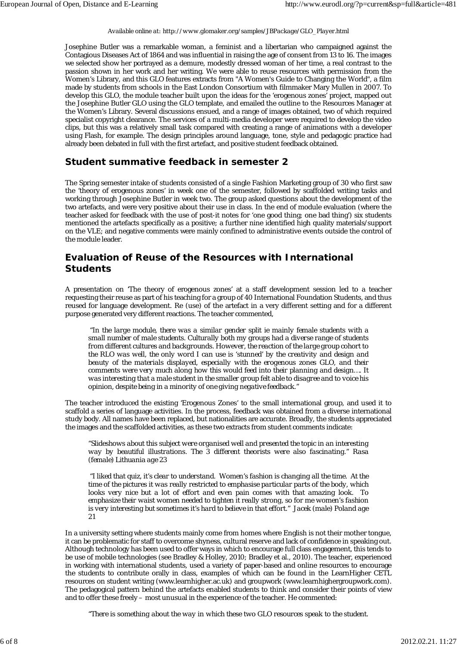#### *Available online at: http://www.glomaker.org/samples/JBPackage/GLO\_Player.html*

Josephine Butler was a remarkable woman, a feminist and a libertarian who campaigned against the Contagious Diseases Act of 1864 and was influential in raising the age of consent from 13 to 16. The images we selected show her portrayed as a demure, modestly dressed woman of her time, a real contrast to the passion shown in her work and her writing. We were able to reuse resources with permission from the Women's Library, and this GLO features extracts from "A Women's Guide to Changing the World", a film made by students from schools in the East London Consortium with filmmaker Mary Mullen in 2007. To develop this GLO, the module teacher built upon the ideas for the 'erogenous zones' project, mapped out the Josephine Butler GLO using the GLO template, and emailed the outline to the Resources Manager at the Women's Library. Several discussions ensued, and a range of images obtained, two of which required specialist copyright clearance. The services of a multi-media developer were required to develop the video clips, but this was a relatively small task compared with creating a range of animations with a developer using Flash, for example. The design principles around language, tone, style and pedagogic practice had already been debated in full with the first artefact, and positive student feedback obtained.

#### **Student summative feedback in semester 2**

The Spring semester intake of students consisted of a single Fashion Marketing group of 30 who first saw the 'theory of erogenous zones' in week one of the semester, followed by scaffolded writing tasks and working through Josephine Butler in week two. The group asked questions about the development of the two artefacts, and were very positive about their use in class. In the end of module evaluation (where the teacher asked for feedback with the use of post-it notes for 'one good thing; one bad thing') six students mentioned the artefacts specifically as a positive; a further nine identified high quality materials/support on the VLE; and negative comments were mainly confined to administrative events outside the control of the module leader.

#### **Evaluation of Reuse of the Resources with International Students**

A presentation on 'The theory of erogenous zones' at a staff development session led to a teacher requesting their reuse as part of his teaching for a group of 40 International Foundation Students, and thus reused for language development. Re (use) of the artefact in a very different setting and for a different purpose generated very different reactions. The teacher commented,

 *"In the large module, there was a similar gender split ie mainly female students with a small number of male students. Culturally both my groups had a diverse range of students from different cultures and backgrounds. However, the reaction of the large group cohort to the RLO was well, the only word I can use is 'stunned' by the creativity and design and beauty of the materials displayed, especially with the erogenous zones GLO, and their comments were very much along how this would feed into their planning and design…. It was interesting that a male student in the smaller group felt able to disagree and to voice his opinion, despite being in a minority of one giving negative feedback."*

The teacher introduced the existing 'Erogenous Zones' to the small international group, and used it to scaffold a series of language activities. In the process, feedback was obtained from a diverse international study body. All names have been replaced, but nationalities are accurate. Broadly, the students appreciated the images and the scaffolded activities, as these two extracts from student comments indicate:

*"Slideshows about this subject were organised well and presented the topic in an interesting way by beautiful illustrations. The 3 different theorists were also fascinating." Rasa (female) Lithuania age 23*

 *"I liked that quiz, it's clear to understand. Women's fashion is changing all the time. At the time of the pictures it was really restricted to emphasise particular parts of the body, which looks very nice but a lot of effort and even pain comes with that amazing look. To emphasize their waist women needed to tighten it really strong, so for me women's fashion is very interesting but sometimes it's hard to believe in that effort." Jacek (male) Poland age 21*

In a university setting where students mainly come from homes where English is not their mother tongue, it can be problematic for staff to overcome shyness, cultural reserve and lack of confidence in speaking out. Although technology has been used to offer ways in which to encourage full class engagement, this tends to be use of mobile technologies (see Bradley & Holley, 2010; Bradley et al., 2010). The teacher, experienced in working with international students, used a variety of paper-based and online resources to encourage the students to contribute orally in class, examples of which can be found in the LearnHigher CETL resources on student writing (www.learnhigher.ac.uk) and groupwork (www.learnhighergroupwork.com). The pedagogical pattern behind the artefacts enabled students to think and consider their points of view and to offer these freely – most unusual in the experience of the teacher. He commented:

*"There is something about the way in which these two GLO resources speak to the student.*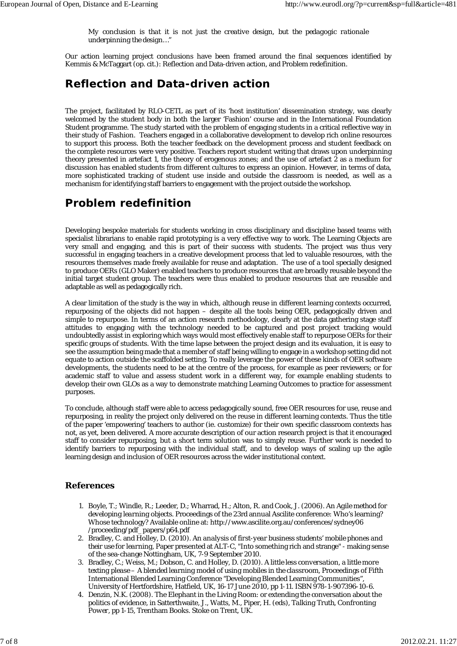*My conclusion is that it is not just the creative design, but the pedagogic rationale underpinning the design…"*

Our action learning project conclusions have been framed around the final sequences identified by Kemmis & McTaggart (op. cit.): Reflection and Data-driven action, and Problem redefinition.

### **Reflection and Data-driven action**

The project, facilitated by RLO-CETL as part of its 'host institution' dissemination strategy, was clearly welcomed by the student body in both the larger 'Fashion' course and in the International Foundation Student programme. The study started with the problem of engaging students in a critical reflective way in their study of Fashion. Teachers engaged in a collaborative development to develop rich online resources to support this process. Both the teacher feedback on the development process and student feedback on the complete resources were very positive. Teachers report student writing that draws upon underpinning theory presented in artefact 1, the theory of erogenous zones; and the use of artefact 2 as a medium for discussion has enabled students from different cultures to express an opinion. However, in terms of data, more sophisticated tracking of student use inside and outside the classroom is needed, as well as a mechanism for identifying staff barriers to engagement with the project outside the workshop.

### **Problem redefinition**

Developing bespoke materials for students working in cross disciplinary and discipline based teams with specialist librarians to enable rapid prototyping is a very effective way to work. The Learning Objects are very small and engaging, and this is part of their success with students. The project was thus very successful in engaging teachers in a creative development process that led to valuable resources, with the resources themselves made freely available for reuse and adaptation. The use of a tool specially designed to produce OERs (GLO Maker) enabled teachers to produce resources that are broadly reusable beyond the initial target student group. The teachers were thus enabled to produce resources that are reusable and adaptable as well as pedagogically rich.

A clear limitation of the study is the way in which, although reuse in different learning contexts occurred, repurposing of the objects did not happen – despite all the tools being OER, pedagogically driven and simple to repurpose. In terms of an action research methodology, clearly at the data gathering stage staff attitudes to engaging with the technology needed to be captured and post project tracking would undoubtedly assist in exploring which ways would most effectively enable staff to repurpose OERs for their *specific* groups of students. With the time lapse between the project design and its evaluation, it is easy to see the assumption being made that a member of staff being willing to engage in a workshop setting did not equate to action outside the scaffolded setting. To really leverage the power of these kinds of OER software developments, the students need to be at the centre of the process, for example as peer reviewers; or for academic staff to value and assess student work in a different way, for example enabling students to develop their own GLOs as a way to demonstrate matching Learning Outcomes to practice for assessment purposes.

To conclude, although staff were able to access pedagogically sound, free OER resources for use, reuse and repurposing, in reality the project only delivered on the reuse in different learning contexts. Thus the title of the paper 'empowering' teachers to author (ie. customize) for their own specific classroom contexts has not, as yet, been delivered. A more accurate description of our action research project is that it encouraged staff to consider repurposing, but a short term solution was to simply reuse. Further work is needed to identify barriers to repurposing with the individual staff, and to develop ways of scaling up the agile learning design and inclusion of OER resources across the wider institutional context.

#### **References**

- Boyle, T.; Windle, R.; Leeder, D.; Wharrad, H.; Alton, R. and Cook, J. (2006). *An Agile method for* 1. *developing learning objects.* Proceedings of the 23rd annual Ascilite conference: Who's learning? Whose technology? Available online at: http://www.ascilite.org.au/conferences/sydney06 /proceeding/pdf\_papers/p64.pdf
- 2. Bradley, C. and Holley, D. (2010). *An analysis of first-year business students' mobile phones and their use for learning,* Paper presented at ALT-C, "Into something rich and strange" - making sense of the sea-change Nottingham, UK, 7-9 September 2010.
- Bradley, C.; Weiss, M.; Dobson, C. and Holley, D. (2010). *A little less conversation, a little more* 3. *texting please – A blended learning model of using mobiles in the classroom,* Proceedings of Fifth International Blended Learning Conference "Developing Blended Learning Communities", University of Hertfordshire, Hatfield, UK, 16-17 June 2010, pp 1-11. ISBN 978-1-907396-10-6.
- 4. Denzin, N.K. (2008). The Elephant in the Living Room: or extending the conversation about the politics of evidence, in Satterthwaite, J., Watts, M., Piper, H. (eds), *Talking Truth, Confronting Power,* pp 1-15, Trentham Books. Stoke on Trent, UK.